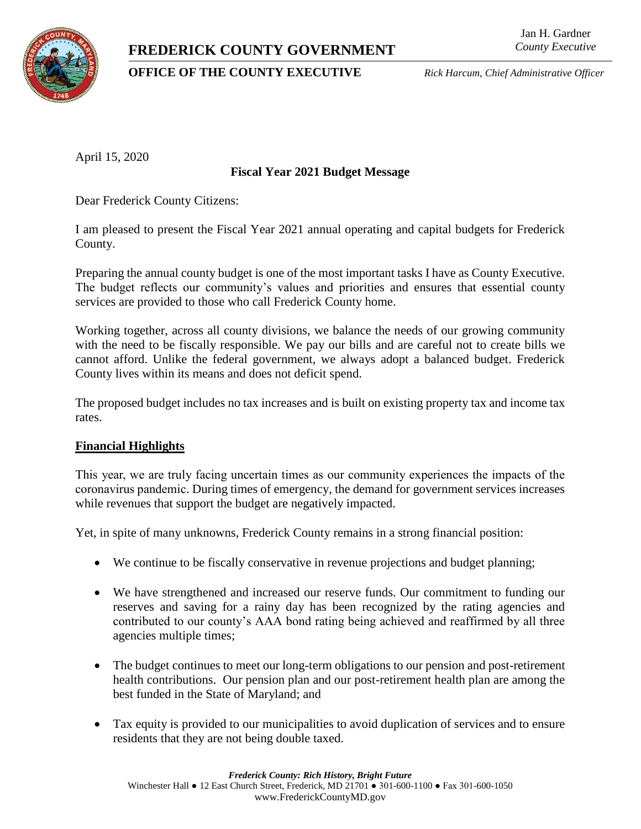# **FREDERICK COUNTY GOVERNMENT**



# **OFFICE OF THE COUNTY EXECUTIVE** *Rick Harcum, Chief Administrative Officer*

April 15, 2020

## **Fiscal Year 2021 Budget Message**

Dear Frederick County Citizens:

I am pleased to present the Fiscal Year 2021 annual operating and capital budgets for Frederick County.

Preparing the annual county budget is one of the most important tasks I have as County Executive. The budget reflects our community's values and priorities and ensures that essential county services are provided to those who call Frederick County home.

Working together, across all county divisions, we balance the needs of our growing community with the need to be fiscally responsible. We pay our bills and are careful not to create bills we cannot afford. Unlike the federal government, we always adopt a balanced budget. Frederick County lives within its means and does not deficit spend.

The proposed budget includes no tax increases and is built on existing property tax and income tax rates.

#### **Financial Highlights**

This year, we are truly facing uncertain times as our community experiences the impacts of the coronavirus pandemic. During times of emergency, the demand for government services increases while revenues that support the budget are negatively impacted.

Yet, in spite of many unknowns, Frederick County remains in a strong financial position:

- We continue to be fiscally conservative in revenue projections and budget planning;
- We have strengthened and increased our reserve funds. Our commitment to funding our reserves and saving for a rainy day has been recognized by the rating agencies and contributed to our county's AAA bond rating being achieved and reaffirmed by all three agencies multiple times;
- The budget continues to meet our long-term obligations to our pension and post-retirement health contributions. Our pension plan and our post-retirement health plan are among the best funded in the State of Maryland; and
- Tax equity is provided to our municipalities to avoid duplication of services and to ensure residents that they are not being double taxed.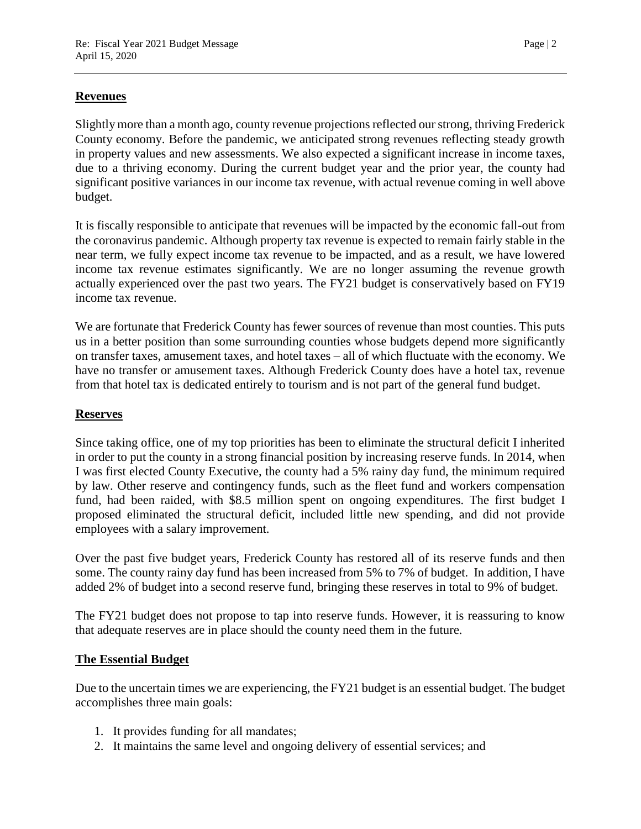## **Revenues**

Slightly more than a month ago, county revenue projections reflected our strong, thriving Frederick County economy. Before the pandemic, we anticipated strong revenues reflecting steady growth in property values and new assessments. We also expected a significant increase in income taxes, due to a thriving economy. During the current budget year and the prior year, the county had significant positive variances in our income tax revenue, with actual revenue coming in well above budget.

It is fiscally responsible to anticipate that revenues will be impacted by the economic fall-out from the coronavirus pandemic. Although property tax revenue is expected to remain fairly stable in the near term, we fully expect income tax revenue to be impacted, and as a result, we have lowered income tax revenue estimates significantly. We are no longer assuming the revenue growth actually experienced over the past two years. The FY21 budget is conservatively based on FY19 income tax revenue.

We are fortunate that Frederick County has fewer sources of revenue than most counties. This puts us in a better position than some surrounding counties whose budgets depend more significantly on transfer taxes, amusement taxes, and hotel taxes – all of which fluctuate with the economy. We have no transfer or amusement taxes. Although Frederick County does have a hotel tax, revenue from that hotel tax is dedicated entirely to tourism and is not part of the general fund budget.

#### **Reserves**

Since taking office, one of my top priorities has been to eliminate the structural deficit I inherited in order to put the county in a strong financial position by increasing reserve funds. In 2014, when I was first elected County Executive, the county had a 5% rainy day fund, the minimum required by law. Other reserve and contingency funds, such as the fleet fund and workers compensation fund, had been raided, with \$8.5 million spent on ongoing expenditures. The first budget I proposed eliminated the structural deficit, included little new spending, and did not provide employees with a salary improvement.

Over the past five budget years, Frederick County has restored all of its reserve funds and then some. The county rainy day fund has been increased from 5% to 7% of budget. In addition, I have added 2% of budget into a second reserve fund, bringing these reserves in total to 9% of budget.

The FY21 budget does not propose to tap into reserve funds. However, it is reassuring to know that adequate reserves are in place should the county need them in the future.

#### **The Essential Budget**

Due to the uncertain times we are experiencing, the FY21 budget is an essential budget. The budget accomplishes three main goals:

- 1. It provides funding for all mandates;
- 2. It maintains the same level and ongoing delivery of essential services; and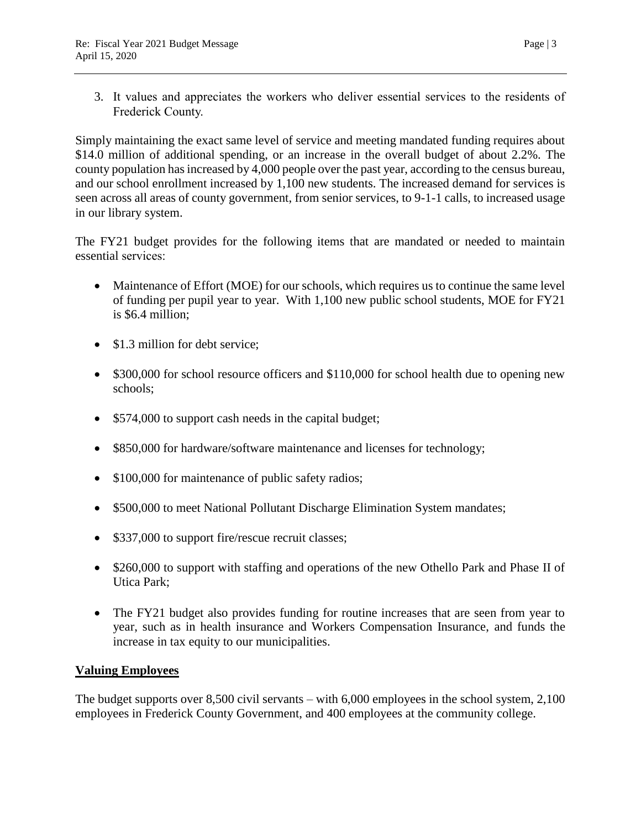3. It values and appreciates the workers who deliver essential services to the residents of Frederick County.

Simply maintaining the exact same level of service and meeting mandated funding requires about \$14.0 million of additional spending, or an increase in the overall budget of about 2.2%. The county population has increased by 4,000 people over the past year, according to the census bureau, and our school enrollment increased by 1,100 new students. The increased demand for services is seen across all areas of county government, from senior services, to 9-1-1 calls, to increased usage in our library system.

The FY21 budget provides for the following items that are mandated or needed to maintain essential services:

- Maintenance of Effort (MOE) for our schools, which requires us to continue the same level of funding per pupil year to year. With 1,100 new public school students, MOE for FY21 is \$6.4 million;
- \$1.3 million for debt service;
- \$300,000 for school resource officers and \$110,000 for school health due to opening new schools;
- \$574,000 to support cash needs in the capital budget;
- \$850,000 for hardware/software maintenance and licenses for technology;
- \$100,000 for maintenance of public safety radios;
- \$500,000 to meet National Pollutant Discharge Elimination System mandates;
- \$337,000 to support fire/rescue recruit classes;
- \$260,000 to support with staffing and operations of the new Othello Park and Phase II of Utica Park;
- The FY21 budget also provides funding for routine increases that are seen from year to year, such as in health insurance and Workers Compensation Insurance, and funds the increase in tax equity to our municipalities.

# **Valuing Employees**

The budget supports over 8,500 civil servants – with 6,000 employees in the school system, 2,100 employees in Frederick County Government, and 400 employees at the community college.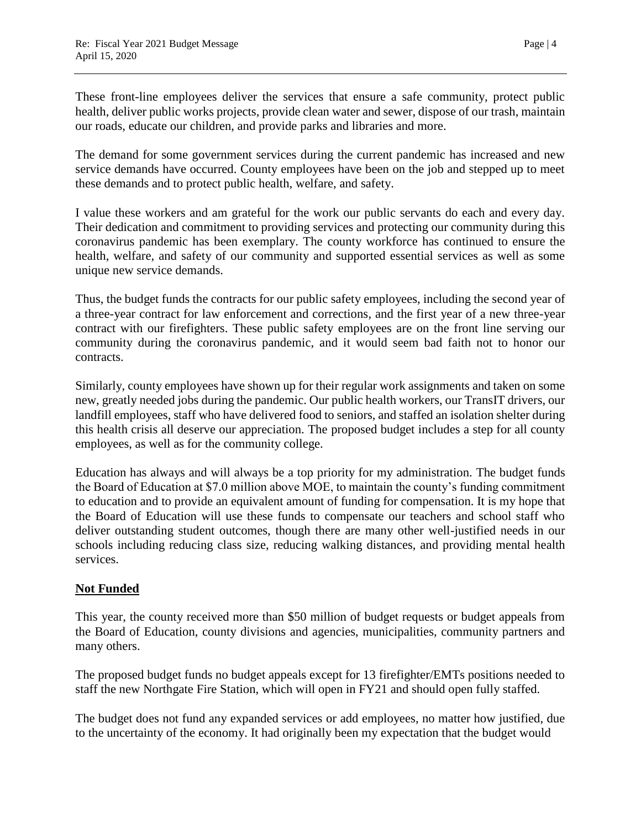These front-line employees deliver the services that ensure a safe community, protect public health, deliver public works projects, provide clean water and sewer, dispose of our trash, maintain our roads, educate our children, and provide parks and libraries and more.

The demand for some government services during the current pandemic has increased and new service demands have occurred. County employees have been on the job and stepped up to meet these demands and to protect public health, welfare, and safety.

I value these workers and am grateful for the work our public servants do each and every day. Their dedication and commitment to providing services and protecting our community during this coronavirus pandemic has been exemplary. The county workforce has continued to ensure the health, welfare, and safety of our community and supported essential services as well as some unique new service demands.

Thus, the budget funds the contracts for our public safety employees, including the second year of a three-year contract for law enforcement and corrections, and the first year of a new three-year contract with our firefighters. These public safety employees are on the front line serving our community during the coronavirus pandemic, and it would seem bad faith not to honor our contracts.

Similarly, county employees have shown up for their regular work assignments and taken on some new, greatly needed jobs during the pandemic. Our public health workers, our TransIT drivers, our landfill employees, staff who have delivered food to seniors, and staffed an isolation shelter during this health crisis all deserve our appreciation. The proposed budget includes a step for all county employees, as well as for the community college.

Education has always and will always be a top priority for my administration. The budget funds the Board of Education at \$7.0 million above MOE, to maintain the county's funding commitment to education and to provide an equivalent amount of funding for compensation. It is my hope that the Board of Education will use these funds to compensate our teachers and school staff who deliver outstanding student outcomes, though there are many other well-justified needs in our schools including reducing class size, reducing walking distances, and providing mental health services.

# **Not Funded**

This year, the county received more than \$50 million of budget requests or budget appeals from the Board of Education, county divisions and agencies, municipalities, community partners and many others.

The proposed budget funds no budget appeals except for 13 firefighter/EMTs positions needed to staff the new Northgate Fire Station, which will open in FY21 and should open fully staffed.

The budget does not fund any expanded services or add employees, no matter how justified, due to the uncertainty of the economy. It had originally been my expectation that the budget would